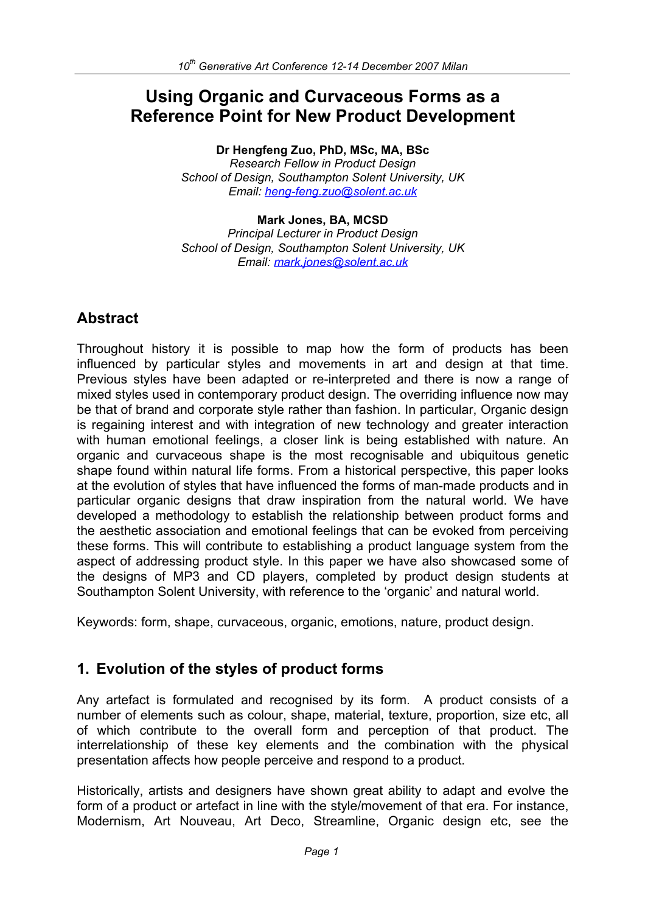# **Using Organic and Curvaceous Forms as a Reference Point for New Product Development**

**Dr Hengfeng Zuo, PhD, MSc, MA, BSc**  *Research Fellow in Product Design School of Design, Southampton Solent University, UK Email: heng-feng.zuo@solent.ac.uk* 

**Mark Jones, BA, MCSD**  *Principal Lecturer in Product Design School of Design, Southampton Solent University, UK Email: mark.jones@solent.ac.uk*

# **Abstract**

Throughout history it is possible to map how the form of products has been influenced by particular styles and movements in art and design at that time. Previous styles have been adapted or re-interpreted and there is now a range of mixed styles used in contemporary product design. The overriding influence now may be that of brand and corporate style rather than fashion. In particular, Organic design is regaining interest and with integration of new technology and greater interaction with human emotional feelings, a closer link is being established with nature. An organic and curvaceous shape is the most recognisable and ubiquitous genetic shape found within natural life forms. From a historical perspective, this paper looks at the evolution of styles that have influenced the forms of man-made products and in particular organic designs that draw inspiration from the natural world. We have developed a methodology to establish the relationship between product forms and the aesthetic association and emotional feelings that can be evoked from perceiving these forms. This will contribute to establishing a product language system from the aspect of addressing product style. In this paper we have also showcased some of the designs of MP3 and CD players, completed by product design students at Southampton Solent University, with reference to the 'organic' and natural world.

Keywords: form, shape, curvaceous, organic, emotions, nature, product design.

# **1. Evolution of the styles of product forms**

Any artefact is formulated and recognised by its form. A product consists of a number of elements such as colour, shape, material, texture, proportion, size etc, all of which contribute to the overall form and perception of that product. The interrelationship of these key elements and the combination with the physical presentation affects how people perceive and respond to a product.

Historically, artists and designers have shown great ability to adapt and evolve the form of a product or artefact in line with the style/movement of that era. For instance, Modernism, Art Nouveau, Art Deco, Streamline, Organic design etc, see the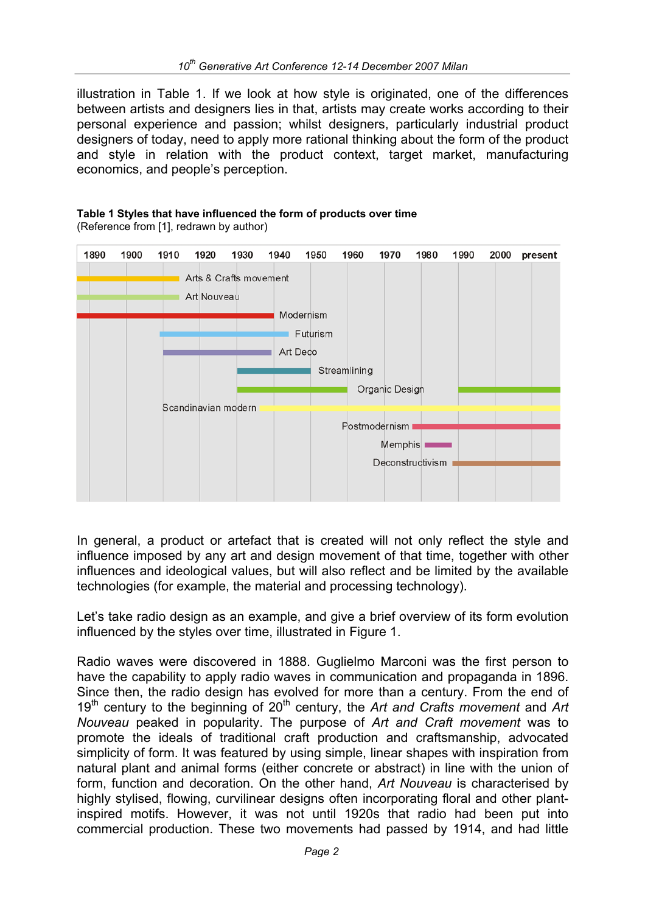illustration in Table 1. If we look at how style is originated, one of the differences between artists and designers lies in that, artists may create works according to their personal experience and passion; whilst designers, particularly industrial product designers of today, need to apply more rational thinking about the form of the product and style in relation with the product context, target market, manufacturing economics, and people's perception.

#### 1890 1900 1910 1940 1950 1960 1970 1980 1990 1920 1930 2000 present Arts & Crafts movement Art Nouveau Modernism Futurism Art Deco Streamlining Organic Design Scandinavian modern Postmodernism Memphis<sup>1</sup> Deconstructivism

# **Table 1 Styles that have influenced the form of products over time**

(Reference from [1], redrawn by author)

In general, a product or artefact that is created will not only reflect the style and influence imposed by any art and design movement of that time, together with other influences and ideological values, but will also reflect and be limited by the available technologies (for example, the material and processing technology).

Let's take radio design as an example, and give a brief overview of its form evolution influenced by the styles over time, illustrated in Figure 1.

Radio waves were discovered in 1888. Guglielmo Marconi was the first person to have the capability to apply radio waves in communication and propaganda in 1896. Since then, the radio design has evolved for more than a century. From the end of 19<sup>th</sup> century to the beginning of 20<sup>th</sup> century, the *Art and Crafts movement* and *Art Nouveau* peaked in popularity. The purpose of *Art and Craft movement* was to promote the ideals of traditional craft production and craftsmanship, advocated simplicity of form. It was featured by using simple, linear shapes with inspiration from natural plant and animal forms (either concrete or abstract) in line with the union of form, function and decoration. On the other hand, *Art Nouveau* is characterised by highly stylised, flowing, curvilinear designs often incorporating floral and other plantinspired motifs. However, it was not until 1920s that radio had been put into commercial production. These two movements had passed by 1914, and had little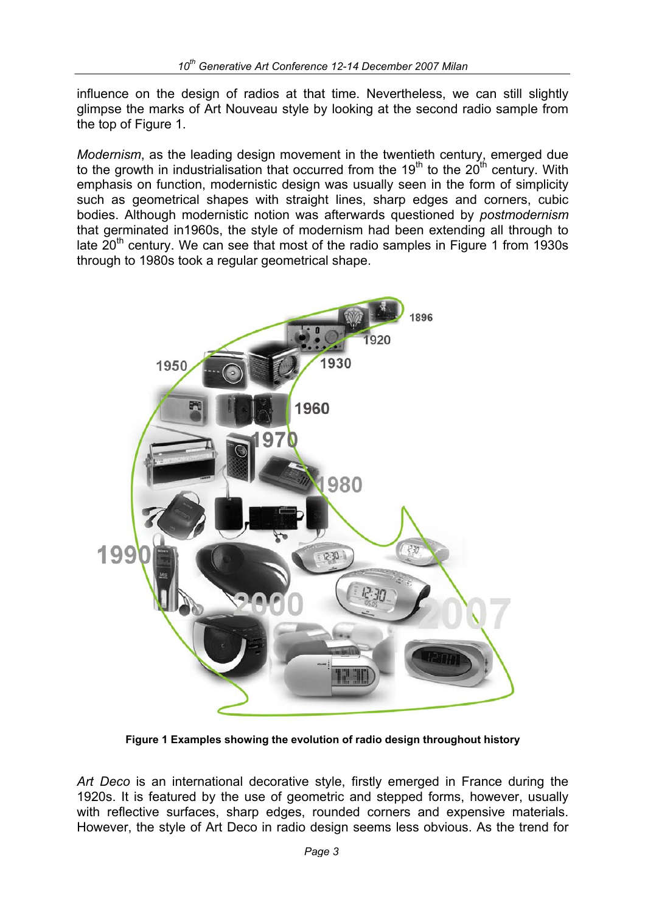influence on the design of radios at that time. Nevertheless, we can still slightly glimpse the marks of Art Nouveau style by looking at the second radio sample from the top of Figure 1.

*Modernism*, as the leading design movement in the twentieth century, emerged due to the growth in industrialisation that occurred from the  $19<sup>th</sup>$  to the  $20<sup>th</sup>$  century. With emphasis on function, modernistic design was usually seen in the form of simplicity such as geometrical shapes with straight lines, sharp edges and corners, cubic bodies. Although modernistic notion was afterwards questioned by *postmodernism*  that germinated in1960s, the style of modernism had been extending all through to late  $20<sup>th</sup>$  century. We can see that most of the radio samples in Figure 1 from 1930s through to 1980s took a regular geometrical shape.



**Figure 1 Examples showing the evolution of radio design throughout history** 

*Art Deco* is an international decorative style, firstly emerged in France during the 1920s. It is featured by the use of geometric and stepped forms, however, usually with reflective surfaces, sharp edges, rounded corners and expensive materials. However, the style of Art Deco in radio design seems less obvious. As the trend for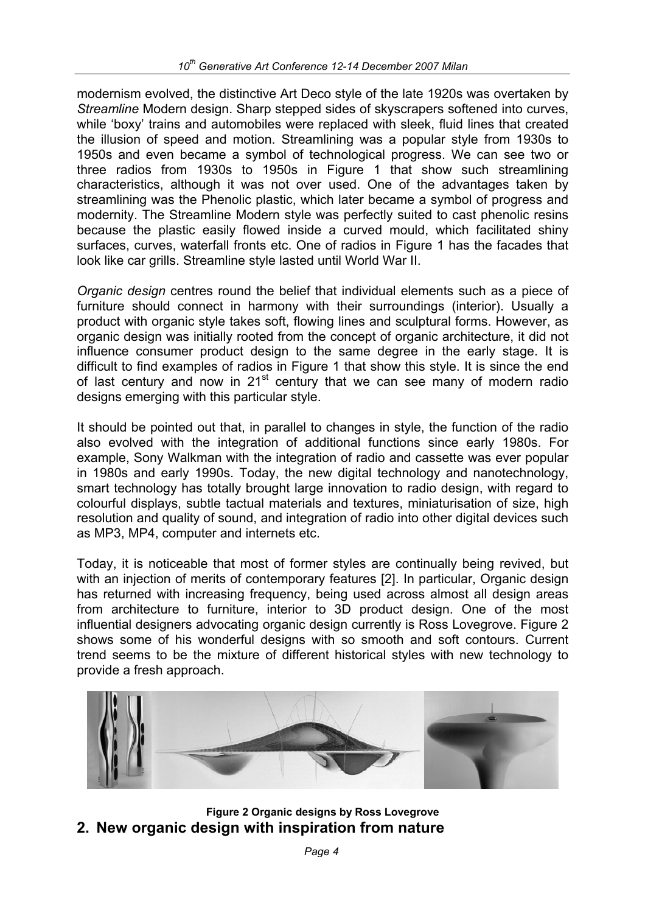modernism evolved, the distinctive Art Deco style of the late 1920s was overtaken by *Streamline* Modern design. Sharp stepped sides of skyscrapers softened into curves, while 'boxy' trains and automobiles were replaced with sleek, fluid lines that created the illusion of speed and motion. Streamlining was a popular style from 1930s to 1950s and even became a symbol of technological progress. We can see two or three radios from 1930s to 1950s in Figure 1 that show such streamlining characteristics, although it was not over used. One of the advantages taken by streamlining was the Phenolic plastic, which later became a symbol of progress and modernity. The Streamline Modern style was perfectly suited to cast phenolic resins because the plastic easily flowed inside a curved mould, which facilitated shiny surfaces, curves, waterfall fronts etc. One of radios in Figure 1 has the facades that look like car grills. Streamline style lasted until World War II.

*Organic design* centres round the belief that individual elements such as a piece of furniture should connect in harmony with their surroundings (interior). Usually a product with organic style takes soft, flowing lines and sculptural forms. However, as organic design was initially rooted from the concept of organic architecture, it did not influence consumer product design to the same degree in the early stage. It is difficult to find examples of radios in Figure 1 that show this style. It is since the end of last century and now in  $21<sup>st</sup>$  century that we can see many of modern radio designs emerging with this particular style.

It should be pointed out that, in parallel to changes in style, the function of the radio also evolved with the integration of additional functions since early 1980s. For example, Sony Walkman with the integration of radio and cassette was ever popular in 1980s and early 1990s. Today, the new digital technology and nanotechnology, smart technology has totally brought large innovation to radio design, with regard to colourful displays, subtle tactual materials and textures, miniaturisation of size, high resolution and quality of sound, and integration of radio into other digital devices such as MP3, MP4, computer and internets etc.

Today, it is noticeable that most of former styles are continually being revived, but with an injection of merits of contemporary features [2]. In particular, Organic design has returned with increasing frequency, being used across almost all design areas from architecture to furniture, interior to 3D product design. One of the most influential designers advocating organic design currently is Ross Lovegrove. Figure 2 shows some of his wonderful designs with so smooth and soft contours. Current trend seems to be the mixture of different historical styles with new technology to provide a fresh approach.



**Figure 2 Organic designs by Ross Lovegrove 2. New organic design with inspiration from nature**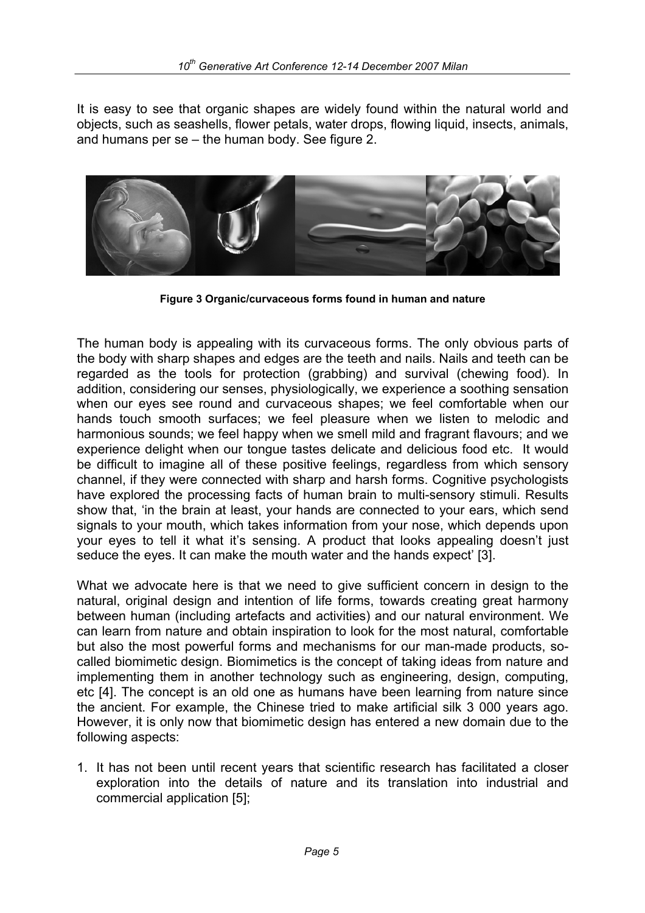It is easy to see that organic shapes are widely found within the natural world and objects, such as seashells, flower petals, water drops, flowing liquid, insects, animals, and humans per se – the human body. See figure 2.



**Figure 3 Organic/curvaceous forms found in human and nature** 

The human body is appealing with its curvaceous forms. The only obvious parts of the body with sharp shapes and edges are the teeth and nails. Nails and teeth can be regarded as the tools for protection (grabbing) and survival (chewing food). In addition, considering our senses, physiologically, we experience a soothing sensation when our eyes see round and curvaceous shapes; we feel comfortable when our hands touch smooth surfaces; we feel pleasure when we listen to melodic and harmonious sounds; we feel happy when we smell mild and fragrant flavours; and we experience delight when our tongue tastes delicate and delicious food etc. It would be difficult to imagine all of these positive feelings, regardless from which sensory channel, if they were connected with sharp and harsh forms. Cognitive psychologists have explored the processing facts of human brain to multi-sensory stimuli. Results show that, 'in the brain at least, your hands are connected to your ears, which send signals to your mouth, which takes information from your nose, which depends upon your eyes to tell it what it's sensing. A product that looks appealing doesn't just seduce the eyes. It can make the mouth water and the hands expect' [3].

What we advocate here is that we need to give sufficient concern in design to the natural, original design and intention of life forms, towards creating great harmony between human (including artefacts and activities) and our natural environment. We can learn from nature and obtain inspiration to look for the most natural, comfortable but also the most powerful forms and mechanisms for our man-made products, socalled biomimetic design. Biomimetics is the concept of taking ideas from nature and implementing them in another technology such as engineering, design, computing, etc [4]. The concept is an old one as humans have been learning from nature since the ancient. For example, the Chinese tried to make artificial silk 3 000 years ago. However, it is only now that biomimetic design has entered a new domain due to the following aspects:

1. It has not been until recent years that scientific research has facilitated a closer exploration into the details of nature and its translation into industrial and commercial application [5];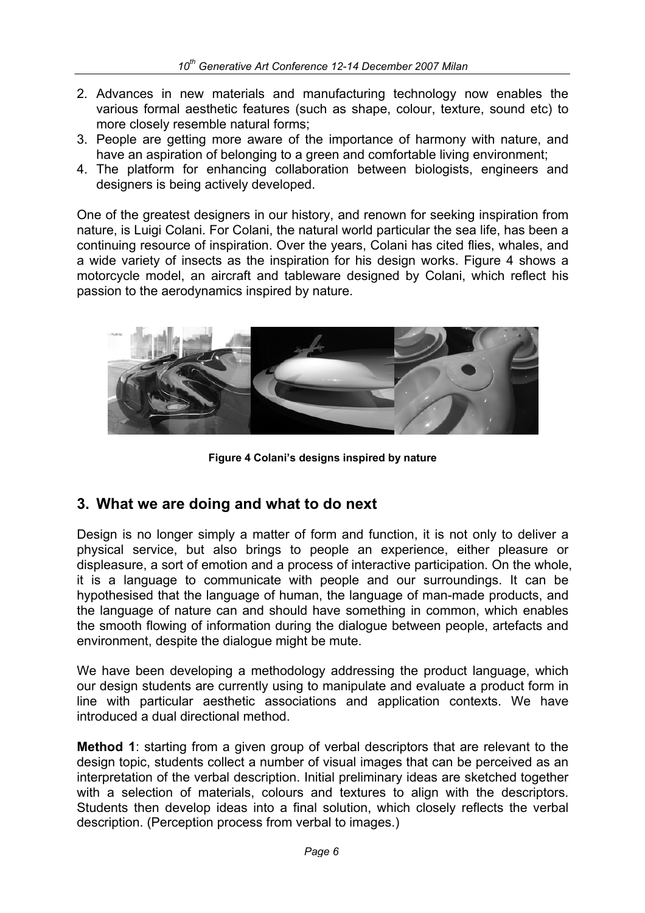- 2. Advances in new materials and manufacturing technology now enables the various formal aesthetic features (such as shape, colour, texture, sound etc) to more closely resemble natural forms;
- 3. People are getting more aware of the importance of harmony with nature, and have an aspiration of belonging to a green and comfortable living environment;
- 4. The platform for enhancing collaboration between biologists, engineers and designers is being actively developed.

One of the greatest designers in our history, and renown for seeking inspiration from nature, is Luigi Colani. For Colani, the natural world particular the sea life, has been a continuing resource of inspiration. Over the years, Colani has cited flies, whales, and a wide variety of insects as the inspiration for his design works. Figure 4 shows a motorcycle model, an aircraft and tableware designed by Colani, which reflect his passion to the aerodynamics inspired by nature.



**Figure 4 Colani's designs inspired by nature** 

### **3. What we are doing and what to do next**

Design is no longer simply a matter of form and function, it is not only to deliver a physical service, but also brings to people an experience, either pleasure or displeasure, a sort of emotion and a process of interactive participation. On the whole, it is a language to communicate with people and our surroundings. It can be hypothesised that the language of human, the language of man-made products, and the language of nature can and should have something in common, which enables the smooth flowing of information during the dialogue between people, artefacts and environment, despite the dialogue might be mute.

We have been developing a methodology addressing the product language, which our design students are currently using to manipulate and evaluate a product form in line with particular aesthetic associations and application contexts. We have introduced a dual directional method.

**Method 1:** starting from a given group of verbal descriptors that are relevant to the design topic, students collect a number of visual images that can be perceived as an interpretation of the verbal description. Initial preliminary ideas are sketched together with a selection of materials, colours and textures to align with the descriptors. Students then develop ideas into a final solution, which closely reflects the verbal description. (Perception process from verbal to images.)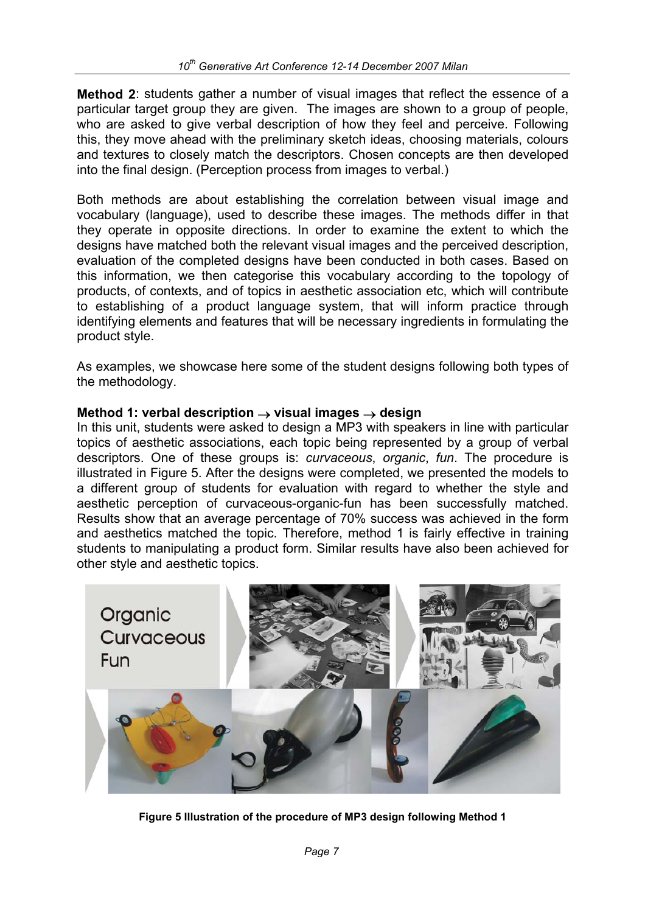**Method 2**: students gather a number of visual images that reflect the essence of a particular target group they are given. The images are shown to a group of people, who are asked to give verbal description of how they feel and perceive. Following this, they move ahead with the preliminary sketch ideas, choosing materials, colours and textures to closely match the descriptors. Chosen concepts are then developed into the final design. (Perception process from images to verbal.)

Both methods are about establishing the correlation between visual image and vocabulary (language), used to describe these images. The methods differ in that they operate in opposite directions. In order to examine the extent to which the designs have matched both the relevant visual images and the perceived description, evaluation of the completed designs have been conducted in both cases. Based on this information, we then categorise this vocabulary according to the topology of products, of contexts, and of topics in aesthetic association etc, which will contribute to establishing of a product language system, that will inform practice through identifying elements and features that will be necessary ingredients in formulating the product style.

As examples, we showcase here some of the student designs following both types of the methodology.

#### **Method 1: verbal description** → **visual images** → **design**

In this unit, students were asked to design a MP3 with speakers in line with particular topics of aesthetic associations, each topic being represented by a group of verbal descriptors. One of these groups is: *curvaceous*, *organic*, *fun*. The procedure is illustrated in Figure 5. After the designs were completed, we presented the models to a different group of students for evaluation with regard to whether the style and aesthetic perception of curvaceous-organic-fun has been successfully matched. Results show that an average percentage of 70% success was achieved in the form and aesthetics matched the topic. Therefore, method 1 is fairly effective in training students to manipulating a product form. Similar results have also been achieved for other style and aesthetic topics.



**Figure 5 Illustration of the procedure of MP3 design following Method 1**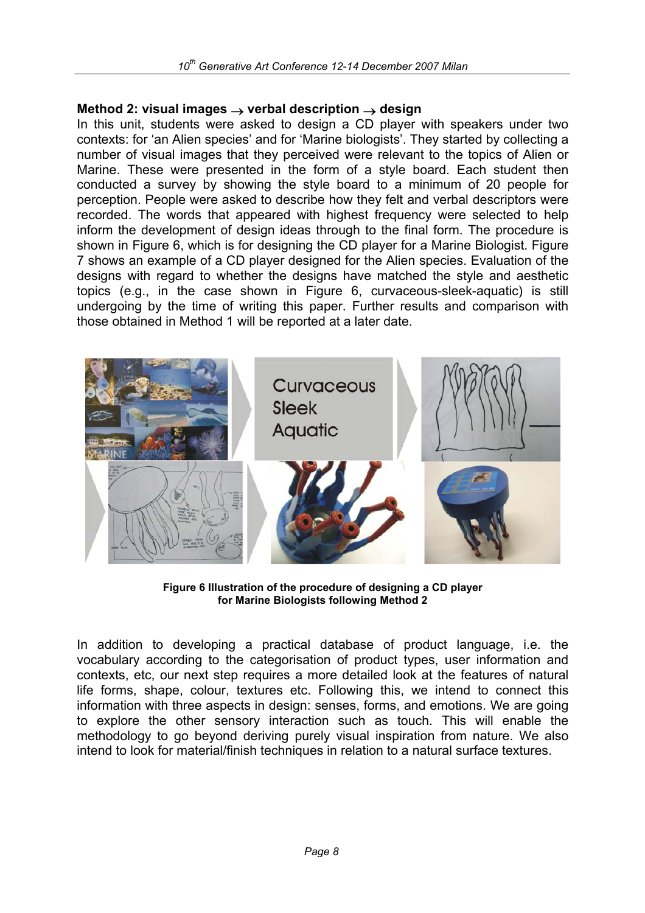#### **Method 2: visual images** → **verbal description** → **design**

In this unit, students were asked to design a CD player with speakers under two contexts: for 'an Alien species' and for 'Marine biologists'. They started by collecting a number of visual images that they perceived were relevant to the topics of Alien or Marine. These were presented in the form of a style board. Each student then conducted a survey by showing the style board to a minimum of 20 people for perception. People were asked to describe how they felt and verbal descriptors were recorded. The words that appeared with highest frequency were selected to help inform the development of design ideas through to the final form. The procedure is shown in Figure 6, which is for designing the CD player for a Marine Biologist. Figure 7 shows an example of a CD player designed for the Alien species. Evaluation of the designs with regard to whether the designs have matched the style and aesthetic topics (e.g., in the case shown in Figure 6, curvaceous-sleek-aquatic) is still undergoing by the time of writing this paper. Further results and comparison with those obtained in Method 1 will be reported at a later date.



**Figure 6 Illustration of the procedure of designing a CD player for Marine Biologists following Method 2** 

In addition to developing a practical database of product language, i.e. the vocabulary according to the categorisation of product types, user information and contexts, etc, our next step requires a more detailed look at the features of natural life forms, shape, colour, textures etc. Following this, we intend to connect this information with three aspects in design: senses, forms, and emotions. We are going to explore the other sensory interaction such as touch. This will enable the methodology to go beyond deriving purely visual inspiration from nature. We also intend to look for material/finish techniques in relation to a natural surface textures.